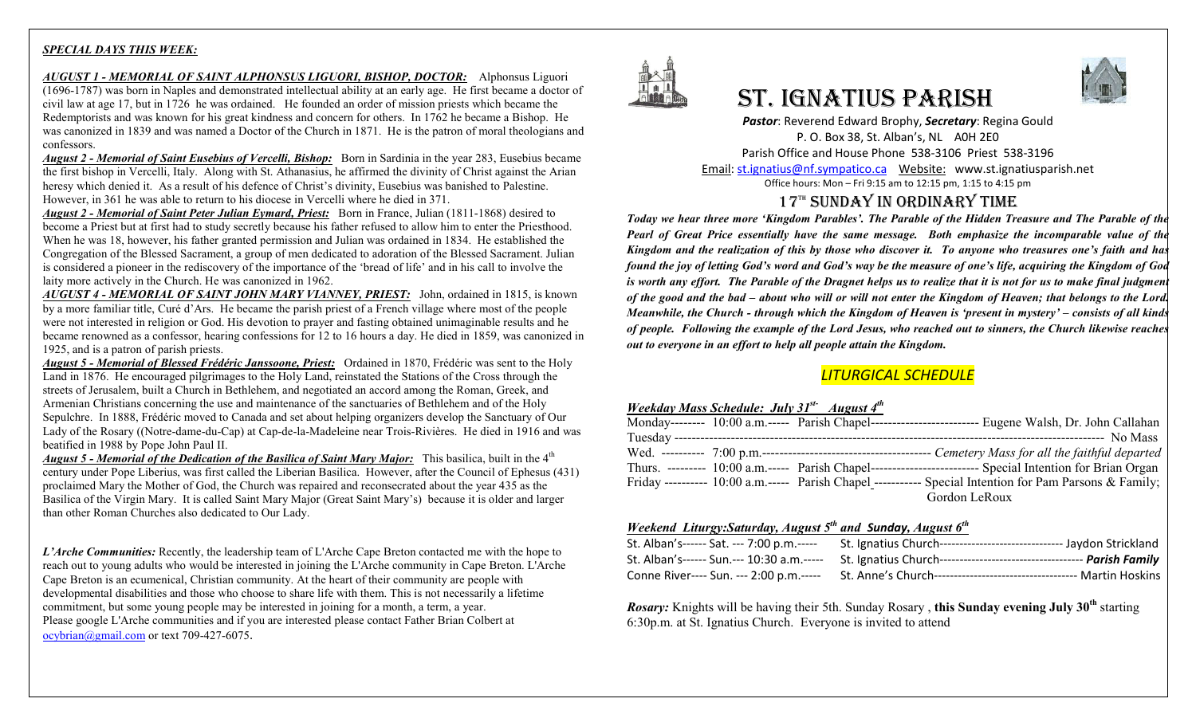# *SPECIAL DAYS THIS WEEK:*

*AUGUST 1 - MEMORIAL OF SAINT ALPHONSUS LIGUORI, BISHOP, DOCTOR:* Alphonsus Liguori (1696-1787) was born in Naples and demonstrated intellectual ability at an early age. He first became a doctor of civil law at age 17, but in 1726 he was ordained. He founded an order of mission priests which became the Redemptorists and was known for his great kindness and concern for others. In 1762 he became a Bishop. He was canonized in 1839 and was named a Doctor of the Church in 1871. He is the patron of moral theologians and confessors.

*August 2 - Memorial of Saint Eusebius of Vercelli, Bishop:* Born in Sardinia in the year 283, Eusebius became the first bishop in Vercelli, Italy. Along with St. Athanasius, he affirmed the divinity of Christ against the Arian heresy which denied it. As a result of his defence of Christ's divinity, Eusebius was banished to Palestine. However, in 361 he was able to return to his diocese in Vercelli where he died in 371.

*August 2 - Memorial of Saint Peter Julian Eymard, Priest:* Born in France, Julian (1811-1868) desired to become a Priest but at first had to study secretly because his father refused to allow him to enter the Priesthood. When he was 18, however, his father granted permission and Julian was ordained in 1834. He established the Congregation of the Blessed Sacrament, a group of men dedicated to adoration of the Blessed Sacrament. Julian is considered a pioneer in the rediscovery of the importance of the 'bread of life' and in his call to involve the laity more actively in the Church. He was canonized in 1962.

*AUGUST 4 - MEMORIAL OF SAINT JOHN MARY VIANNEY, PRIEST:* John, ordained in 1815, is known by a more familiar title, Curé d'Ars. He became the parish priest of a French village where most of the people were not interested in religion or God. His devotion to prayer and fasting obtained unimaginable results and he became renowned as a confessor, hearing confessions for 12 to 16 hours a day. He died in 1859, was canonized in 1925, and is a patron of parish priests.

*August 5 - Memorial of Blessed Frédéric Janssoone, Priest:* Ordained in 1870, Frédéric was sent to the Holy Land in 1876. He encouraged pilgrimages to the Holy Land, reinstated the Stations of the Cross through the streets of Jerusalem, built a Church in Bethlehem, and negotiated an accord among the Roman, Greek, and Armenian Christians concerning the use and maintenance of the sanctuaries of Bethlehem and of the Holy Sepulchre. In 1888, Frédéric moved to Canada and set about helping organizers develop the Sanctuary of Our Lady of the Rosary ((Notre-dame-du-Cap) at Cap-de-la-Madeleine near Trois-Rivières. He died in 1916 and was beatified in 1988 by Pope John Paul II.

*August 5 - Memorial of the Dedication of the Basilica of Saint Mary Major:* This basilica, built in the 4<sup>th</sup> century under Pope Liberius, was first called the Liberian Basilica. However, after the Council of Ephesus (431) proclaimed Mary the Mother of God, the Church was repaired and reconsecrated about the year 435 as the Basilica of the Virgin Mary. It is called Saint Mary Major (Great Saint Mary's) because it is older and larger than other Roman Churches also dedicated to Our Lady.

*L'Arche Communities:* Recently, the leadership team of L'Arche Cape Breton contacted me with the hope to reach out to young adults who would be interested in joining the L'Arche community in Cape Breton. L'Arche Cape Breton is an ecumenical, Christian community. At the heart of their community are people with developmental disabilities and those who choose to share life with them. This is not necessarily a lifetime commitment, but some young people may be interested in joining for a month, a term, a year. Please google L'Arche communities and if you are interested please contact Father Brian Colbert at [ocybrian@gmail.com](mailto:ocybrian@gmail.com) or text 709-427-6075.



# St. IgnAtIuS PArISh



*Pastor*: Reverend Edward Brophy, *Secretary*: Regina Gould P. O. Box 38, St. Alban's, NL A0H 2E0 Parish Office and House Phone 538-3106 Priest 538-3196 Email[: st.ignatius@nf.sympatico.ca](mailto:st.ignatius@nf.sympatico.ca) Website: www.st.ignatiusparish.net Office hours: Mon – Fri 9:15 am to 12:15 pm, 1:15 to 4:15 pm

# $17<sup>TH</sup>$  SUNDAY IN ORDINARY TIME

*Today we hear three more 'Kingdom Parables'. The Parable of the Hidden Treasure and The Parable of the Pearl of Great Price essentially have the same message. Both emphasize the incomparable value of the Kingdom and the realization of this by those who discover it. To anyone who treasures one's faith and has found the joy of letting God's word and God's way be the measure of one's life, acquiring the Kingdom of God is worth any effort. The Parable of the Dragnet helps us to realize that it is not for us to make final judgment of the good and the bad – about who will or will not enter the Kingdom of Heaven; that belongs to the Lord. Meanwhile, the Church - through which the Kingdom of Heaven is 'present in mystery' – consists of all kinds of people. Following the example of the Lord Jesus, who reached out to sinners, the Church likewise reaches out to everyone in an effort to help all people attain the Kingdom.*

# *LITURGICAL SCHEDULE*

# *Weekday Mass Schedule: July 31st- August 4th*

|  | Monday-------- 10:00 a.m.----- Parish Chapel---------------------------- Eugene Walsh, Dr. John Callahan    |
|--|-------------------------------------------------------------------------------------------------------------|
|  |                                                                                                             |
|  |                                                                                                             |
|  | Thurs. --------- 10:00 a.m.----- Parish Chapel--------------------------- Special Intention for Brian Organ |
|  | Friday ---------- 10:00 a.m.----- Parish Chapel ----------- Special Intention for Pam Parsons & Family;     |
|  | Gordon LeRoux                                                                                               |

# *Weekend Liturgy:Saturday, August 5th and Sunday, August 6th*

| St. Alban's------ Sat. --- 7:00 p.m.----- | ------ Jaydon Strickland<br>St. Ignatius Church---- |
|-------------------------------------------|-----------------------------------------------------|
| St. Alban's------ Sun.--- 10:30 a.m.----- |                                                     |
| Conne River---- Sun. --- 2:00 p.m.-----   |                                                     |

*Rosary:* Knights will be having their 5th. Sunday Rosary , **this Sunday evening July 30th** starting 6:30p.m. at St. Ignatius Church. Everyone is invited to attend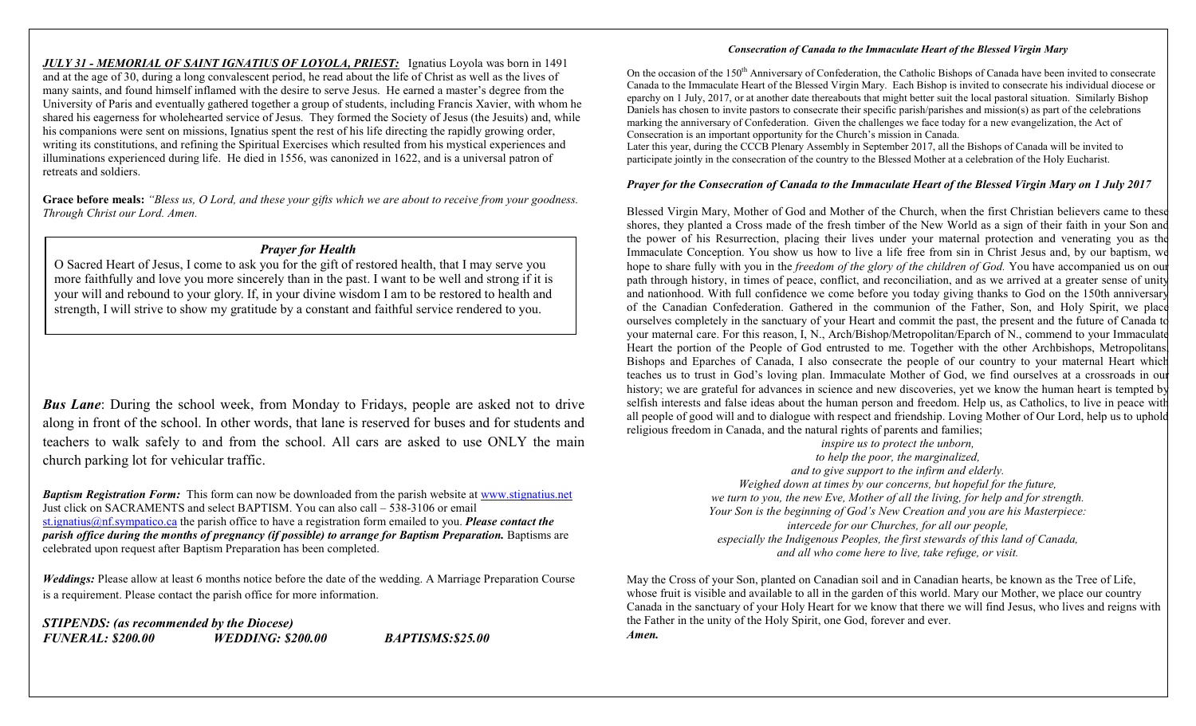*JULY 31 - MEMORIAL OF SAINT IGNATIUS OF LOYOLA, PRIEST:* Ignatius Loyola was born in 1491 and at the age of 30, during a long convalescent period, he read about the life of Christ as well as the lives of many saints, and found himself inflamed with the desire to serve Jesus. He earned a master's degree from the University of Paris and eventually gathered together a group of students, including Francis Xavier, with whom he shared his eagerness for wholehearted service of Jesus. They formed the Society of Jesus (the Jesuits) and, while his companions were sent on missions, Ignatius spent the rest of his life directing the rapidly growing order, writing its constitutions, and refining the Spiritual Exercises which resulted from his mystical experiences and illuminations experienced during life. He died in 1556, was canonized in 1622, and is a universal patron of retreats and soldiers.

**Grace before meals:** *"Bless us, O Lord, and these your gifts which we are about to receive from your goodness. Through Christ our Lord. Amen.*

# *Prayer for Health*

 $\overline{\phantom{a}}$ 

O Sacred Heart of Jesus, I come to ask you for the gift of restored health, that I may serve you more faithfully and love you more sincerely than in the past. I want to be well and strong if it is your will and rebound to your glory. If, in your divine wisdom I am to be restored to health and strength, I will strive to show my gratitude by a constant and faithful service rendered to you.

*Bus Lane*: During the school week, from Monday to Fridays, people are asked not to drive along in front of the school. In other words, that lane is reserved for buses and for students and teachers to walk safely to and from the school. All cars are asked to use ONLY the main church parking lot for vehicular traffic.

*Baptism Registration Form:* This form can now be downloaded from the parish website at [www.stignatius.net](http://www.stignatius.net/) Just click on SACRAMENTS and select BAPTISM. You can also call – 538-3106 or email [st.ignatius@nf.sympatico.ca](mailto:st.ignatius@nf.sympatico.ca) the parish office to have a registration form emailed to you. *Please contact the parish office during the months of pregnancy (if possible) to arrange for Baptism Preparation.* Baptisms are celebrated upon request after Baptism Preparation has been completed.

*Weddings:* Please allow at least 6 months notice before the date of the wedding. A Marriage Preparation Course is a requirement. Please contact the parish office for more information.

*STIPENDS: (as recommended by the Diocese) FUNERAL: \$200.00 WEDDING: \$200.00 BAPTISMS:\$25.00*

#### *Consecration of Canada to the Immaculate Heart of the Blessed Virgin Mary*

On the occasion of the 150<sup>th</sup> Anniversary of Confederation, the Catholic Bishops of Canada have been invited to consecrate Canada to the Immaculate Heart of the Blessed Virgin Mary. Each Bishop is invited to consecrate his individual diocese or eparchy on 1 July, 2017, or at another date thereabouts that might better suit the local pastoral situation. Similarly Bishop Daniels has chosen to invite pastors to consecrate their specific parish/parishes and mission(s) as part of the celebrations marking the anniversary of Confederation. Given the challenges we face today for a new evangelization, the Act of Consecration is an important opportunity for the Church's mission in Canada.

Later this year, during the CCCB Plenary Assembly in September 2017, all the Bishops of Canada will be invited to participate jointly in the consecration of the country to the Blessed Mother at a celebration of the Holy Eucharist.

# *Prayer for the Consecration of Canada to the Immaculate Heart of the Blessed Virgin Mary on 1 July 2017*

Blessed Virgin Mary, Mother of God and Mother of the Church, when the first Christian believers came to these shores, they planted a Cross made of the fresh timber of the New World as a sign of their faith in your Son and the power of his Resurrection, placing their lives under your maternal protection and venerating you as the Immaculate Conception. You show us how to live a life free from sin in Christ Jesus and, by our baptism, we hope to share fully with you in the *freedom of the glory of the children of God.* You have accompanied us on our path through history, in times of peace, conflict, and reconciliation, and as we arrived at a greater sense of unity and nationhood. With full confidence we come before you today giving thanks to God on the 150th anniversary of the Canadian Confederation. Gathered in the communion of the Father, Son, and Holy Spirit, we place ourselves completely in the sanctuary of your Heart and commit the past, the present and the future of Canada to your maternal care. For this reason, I, N., Arch/Bishop/Metropolitan/Eparch of N., commend to your Immaculate Heart the portion of the People of God entrusted to me. Together with the other Archbishops, Metropolitans, Bishops and Eparches of Canada, I also consecrate the people of our country to your maternal Heart which teaches us to trust in God's loving plan. Immaculate Mother of God, we find ourselves at a crossroads in our history; we are grateful for advances in science and new discoveries, yet we know the human heart is tempted by selfish interests and false ideas about the human person and freedom. Help us, as Catholics, to live in peace with all people of good will and to dialogue with respect and friendship. Loving Mother of Our Lord, help us to uphold religious freedom in Canada, and the natural rights of parents and families;

> *inspire us to protect the unborn, to help the poor, the marginalized, and to give support to the infirm and elderly. Weighed down at times by our concerns, but hopeful for the future, we turn to you, the new Eve, Mother of all the living, for help and for strength. Your Son is the beginning of God's New Creation and you are his Masterpiece: intercede for our Churches, for all our people, especially the Indigenous Peoples, the first stewards of this land of Canada, and all who come here to live, take refuge, or visit.*

May the Cross of your Son, planted on Canadian soil and in Canadian hearts, be known as the Tree of Life, whose fruit is visible and available to all in the garden of this world. Mary our Mother, we place our country Canada in the sanctuary of your Holy Heart for we know that there we will find Jesus, who lives and reigns with the Father in the unity of the Holy Spirit, one God, forever and ever. *Amen.*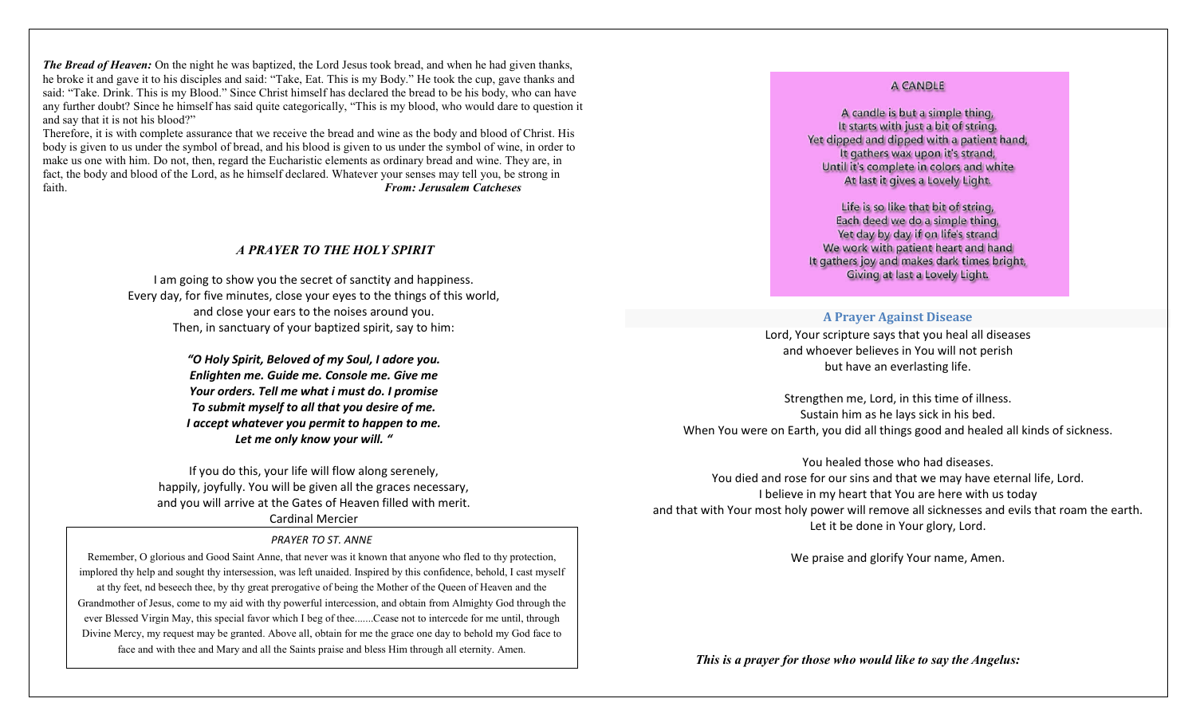*The Bread of Heaven:* On the night he was baptized, the Lord Jesus took bread, and when he had given thanks, he broke it and gave it to his disciples and said: "Take, Eat. This is my Body." He took the cup, gave thanks and said: "Take. Drink. This is my Blood." Since Christ himself has declared the bread to be his body, who can have any further doubt? Since he himself has said quite categorically, "This is my blood, who would dare to question it and say that it is not his blood?"

Therefore, it is with complete assurance that we receive the bread and wine as the body and blood of Christ. His body is given to us under the symbol of bread, and his blood is given to us under the symbol of wine, in order to make us one with him. Do not, then, regard the Eucharistic elements as ordinary bread and wine. They are, in fact, the body and blood of the Lord, as he himself declared. Whatever your senses may tell you, be strong in faith. *From: Jerusalem Catcheses*

### *A PRAYER TO THE HOLY SPIRIT*

I am going to show you the secret of sanctity and happiness. Every day, for five minutes, close your eyes to the things of this world, and close your ears to the noises around you. Then, in sanctuary of your baptized spirit, say to him:

> *"O Holy Spirit, Beloved of my Soul, I adore you. Enlighten me. Guide me. Console me. Give me Your orders. Tell me what i must do. I promise To submit myself to all that you desire of me. I accept whatever you permit to happen to me. Let me only know your will. "*

If you do this, your life will flow along serenely, happily, joyfully. You will be given all the graces necessary, and you will arrive at the Gates of Heaven filled with merit. Cardinal Mercier

#### *PRAYER TO ST. ANNE*

Remember, O glorious and Good Saint Anne, that never was it known that anyone who fled to thy protection, implored thy help and sought thy intersession, was left unaided. Inspired by this confidence, behold, I cast myself at thy feet, nd beseech thee, by thy great prerogative of being the Mother of the Queen of Heaven and the Grandmother of Jesus, come to my aid with thy powerful intercession, and obtain from Almighty God through the ever Blessed Virgin May, this special favor which I beg of thee.......Cease not to intercede for me until, through Divine Mercy, my request may be granted. Above all, obtain for me the grace one day to behold my God face to face and with thee and Mary and all the Saints praise and bless Him through all eternity. Amen.

#### **A CANDLE**

A candle is but a simple thing, It starts with just a bit of string. Yet dipped and dipped with a patient hand, It gathers wax upon it's strand, Until it's complete in colors and white At last it gives a Lovely Light.

Life is so like that bit of string, Each deed we do a simple thing, Yet day by day if on life's strand We work with patient heart and hand It gathers joy and makes dark times bright, Giving at last a Lovely Light.

### **A Prayer Against Disease**

Lord, Your scripture says that you heal all diseases and whoever believes in You will not perish but have an everlasting life.

Strengthen me, Lord, in this time of illness. Sustain him as he lays sick in his bed. When You were on Earth, you did all things good and healed all kinds of sickness.

You healed those who had diseases. You died and rose for our sins and that we may have eternal life, Lord. I believe in my heart that You are here with us today and that with Your most holy power will remove all sicknesses and evils that roam the earth. Let it be done in Your glory, Lord.

We praise and glorify Your name, Amen.

*This is a prayer for those who would like to say the Angelus:*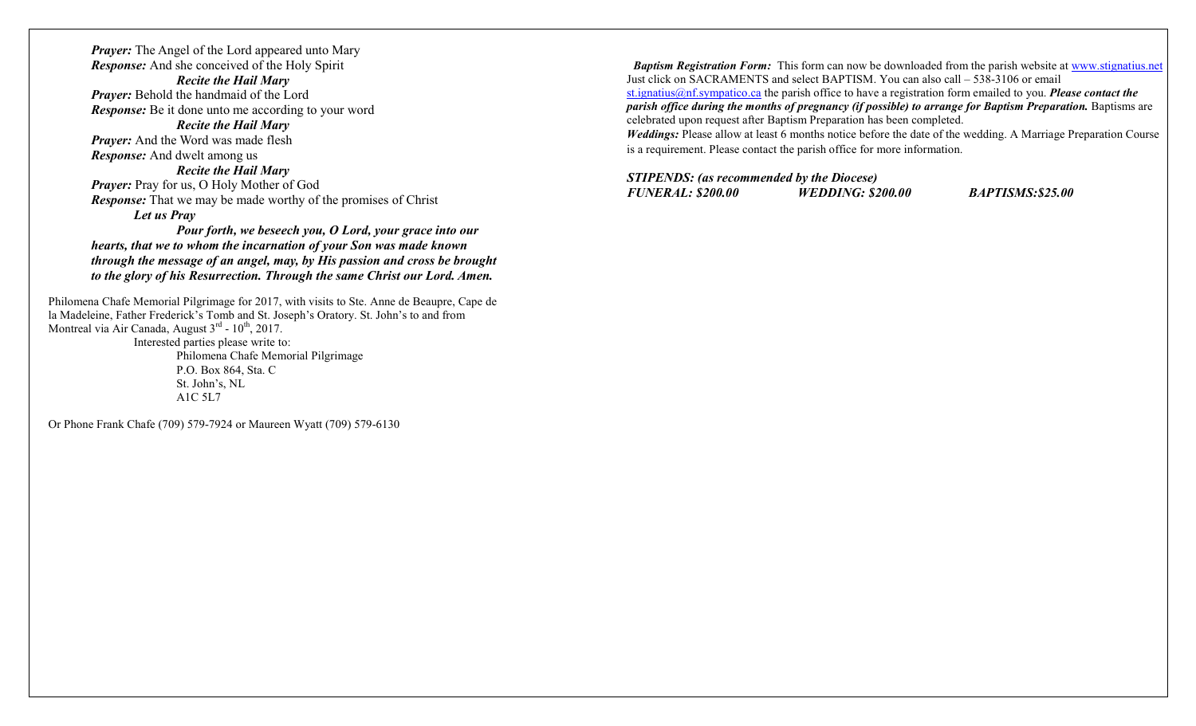*Prayer:* The Angel of the Lord appeared unto Mary *Response:* And she conceived of the Holy Spirit *Recite the Hail Mary Prayer:* Behold the handmaid of the Lord *Response:* Be it done unto me according to your word *Recite the Hail Mary Prayer:* And the Word was made flesh *Response:* And dwelt among us *Recite the Hail Mary Prayer:* Pray for us, O Holy Mother of God *Response:* That we may be made worthy of the promises of Christ *Let us Pray Pour forth, we beseech you, O Lord, your grace into our hearts, that we to whom the incarnation of your Son was made known through the message of an angel, may, by His passion and cross be brought to the glory of his Resurrection. Through the same Christ our Lord. Amen.* 

Philomena Chafe Memorial Pilgrimage for 2017, with visits to Ste. Anne de Beaupre, Cape de la Madeleine, Father Frederick's Tomb and St. Joseph's Oratory. St. John's to and from Montreal via Air Canada, August  $3^{rd}$  -  $10^{th}$ , 2017.

> Interested parties please write to: Philomena Chafe Memorial Pilgrimage P.O. Box 864, Sta. C St. John's, NL A1C 5L7

Or Phone Frank Chafe (709) 579-7924 or Maureen Wyatt (709) 579-6130

 *Baptism Registration Form:* This form can now be downloaded from the parish website at [www.stignatius.net](http://www.stignatius.net/) Just click on SACRAMENTS and select BAPTISM. You can also call – 538-3106 or email [st.ignatius@nf.sympatico.ca](mailto:st.ignatius@nf.sympatico.ca) the parish office to have a registration form emailed to you. *Please contact the parish office during the months of pregnancy (if possible) to arrange for Baptism Preparation.* Baptisms are celebrated upon request after Baptism Preparation has been completed. *Weddings:* Please allow at least 6 months notice before the date of the wedding. A Marriage Preparation Course

is a requirement. Please contact the parish office for more information.

# *STIPENDS: (as recommended by the Diocese)*

*FUNERAL: \$200.00 WEDDING: \$200.00 BAPTISMS:\$25.00*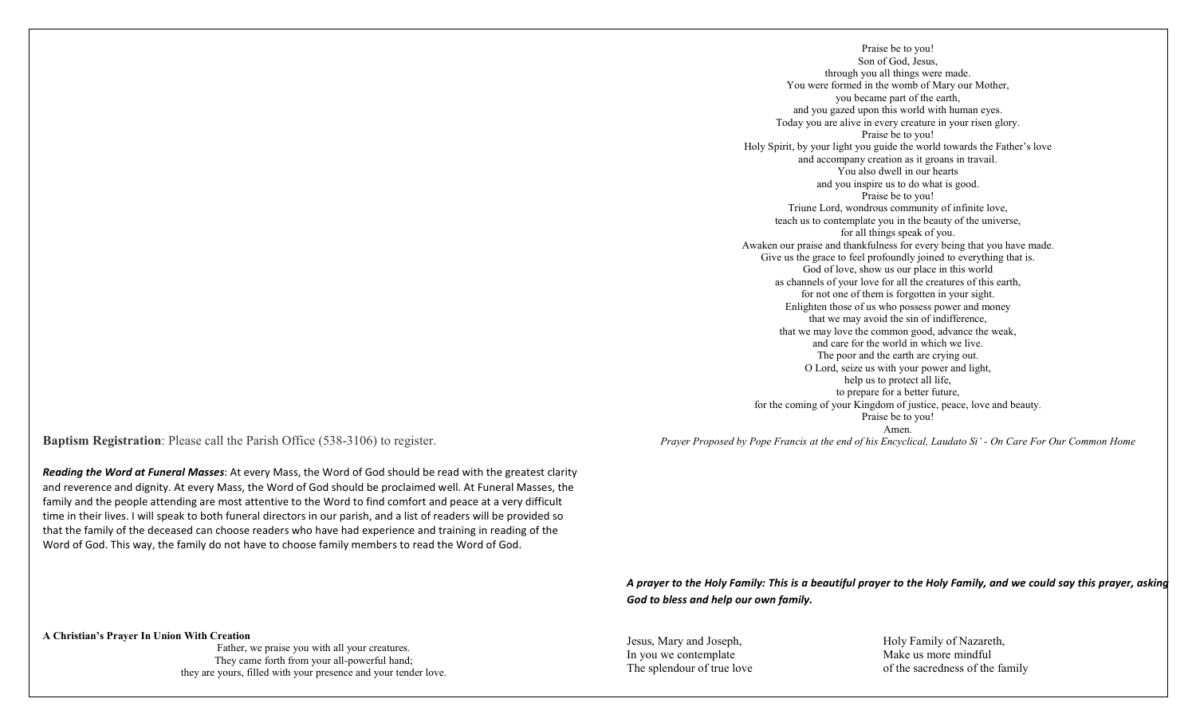Praise be to you! Son of God, Jesus, through you all things were made. You were formed in the womb of Mary our Mother, you became part of the earth, and you gazed upon this world with human eyes. Today you are alive in every creature in your risen glory. Praise be to you! Holy Spirit, by your light you guide the world towards the Father's love and accompany creation as it groans in travail. You also dwell in our hearts and you inspire us to do what is good. Praise be to you! Triune Lord, wondrous community of infinite love, teach us to contemplate you in the beauty of the universe, for all things speak of you. Awaken our praise and thankfulness for every being that you have made. Give us the grace to feel profoundly joined to everything that is. God of love, show us our place in this world as channels of your love for all the creatures of this earth, for not one of them is forgotten in your sight. Enlighten those of us who possess power and money that we may avoid the sin of indifference, that we may love the common good, advance the weak, and care for the world in which we live. The poor and the earth are crying out. O Lord, seize us with your power and light, help us to protect all life, to prepare for a better future, for the coming of your Kingdom of justice, peace, love and beauty. Praise be to you! Amen. *Prayer Proposed by Pope Francis at the end of his Encyclical, Laudato Si' - On Care For Our Common Home*

**Baptism Registration:** Please call the Parish Office (538-3106) to register.

*Reading the Word at Funeral Masses*: At every Mass, the Word of God should be read with the greatest clarity and reverence and dignity. At every Mass, the Word of God should be proclaimed well. At Funeral Masses, the family and the people attending are most attentive to the Word to find comfort and peace at a very difficult time in their lives. I will speak to both funeral directors in our parish, and a list of readers will be provided so that the family of the deceased can choose readers who have had experience and training in reading of the Word of God. This way, the family do not have to choose family members to read the Word of God.

> *A prayer to the Holy Family: This is a beautiful prayer to the Holy Family, and we could say this prayer, asking God to bless and help our own family.*

**A Christian's Prayer In Union With Creation** Father, we praise you with all your creatures.

They came forth from your all-powerful hand; they are yours, filled with your presence and your tender love. In you we contemplate

Jesus, Mary and Joseph, Holy Family of Nazareth,<br>
In you we contemplate<br>
Make us more mindful The splendour of true love of the sacredness of the family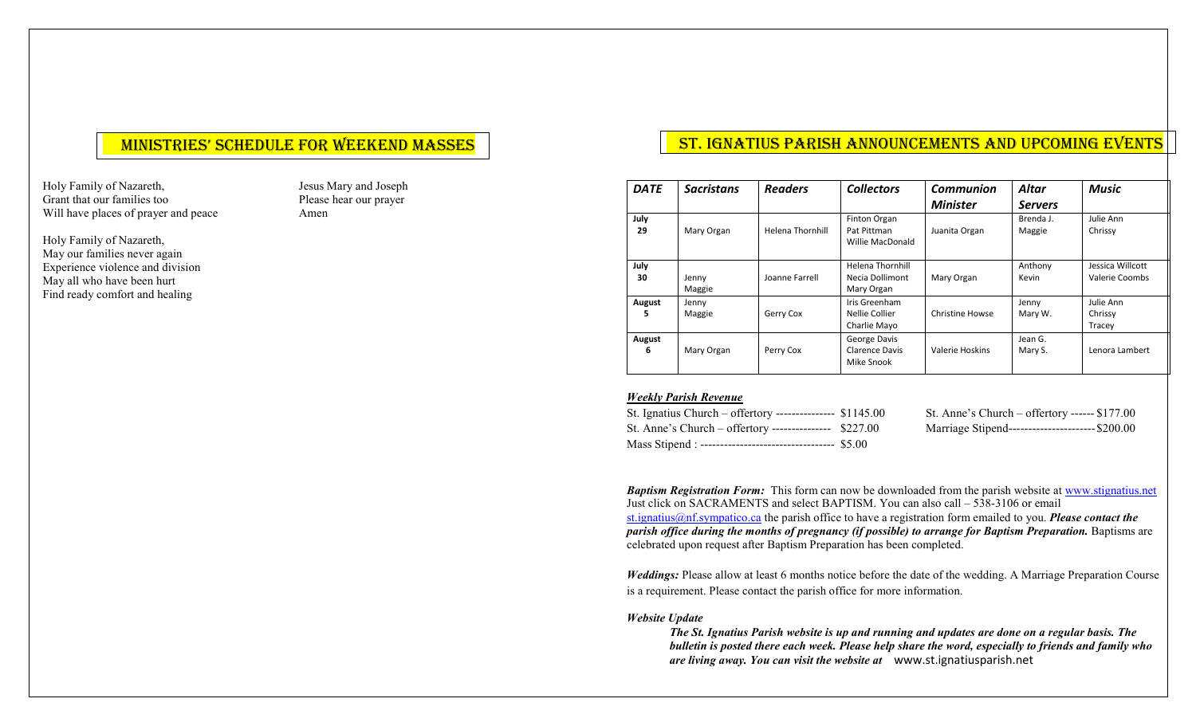Holy Family of Nazareth,<br>
Grant that our families too<br>
Please hear our prayer Grant that our families too Will have places of prayer and peace Amen

Holy Family of Nazareth, May our families never again Experience violence and division May all who have been hurt Find ready comfort and healing

# MINISTRIES' SCHEDULE FOR WEEKEND MASSES NACKER ST. IGNATIUS PARISH ANNOUNCEMENTS AND UPCOMING EVENTS

| <b>DATE</b> | <b>Sacristans</b> | <b>Readers</b>          | <b>Collectors</b>                                        | Communion       | <b>Altar</b>        | <b>Music</b>                       |
|-------------|-------------------|-------------------------|----------------------------------------------------------|-----------------|---------------------|------------------------------------|
|             |                   |                         |                                                          | <b>Minister</b> | <b>Servers</b>      |                                    |
| July<br>29  | Mary Organ        | <b>Helena Thornhill</b> | Finton Organ<br>Pat Pittman<br>Willie MacDonald          | Juanita Organ   | Brenda J.<br>Maggie | Julie Ann<br>Chrissy               |
| July<br>30  | Jenny<br>Maggie   | Joanne Farrell          | <b>Helena Thornhill</b><br>Necia Dollimont<br>Mary Organ | Mary Organ      | Anthony<br>Kevin    | Jessica Willcott<br>Valerie Coombs |
| August<br>5 | Jenny<br>Maggie   | Gerry Cox               | Iris Greenham<br>Nellie Collier<br>Charlie Mayo          | Christine Howse | Jenny<br>Mary W.    | Julie Ann<br>Chrissy<br>Tracey     |
| August<br>6 | Mary Organ        | Perry Cox               | George Davis<br><b>Clarence Davis</b><br>Mike Snook      | Valerie Hoskins | Jean G.<br>Mary S.  | Lenora Lambert                     |

#### *Weekly Parish Revenue*

| St. Ignatius Church – offertory --------------- \$1145.00 |  |
|-----------------------------------------------------------|--|
| St. Anne's Church – offertory --------------- \$227.00    |  |
| Mass Stipend : ---------------------------------- \$5.00  |  |

00 St. Anne's Church – offertory ------ \$177.00 Marriage Stipend-------------------------- \$200.00

*Baptism Registration Form:* This form can now be downloaded from the parish website at [www.stignatius.net](http://www.stignatius.net/) Just click on SACRAMENTS and select BAPTISM. You can also call – 538-3106 or email [st.ignatius@nf.sympatico.ca](mailto:st.ignatius@nf.sympatico.ca) the parish office to have a registration form emailed to you. *Please contact the parish office during the months of pregnancy (if possible) to arrange for Baptism Preparation.* Baptisms are celebrated upon request after Baptism Preparation has been completed.

*Weddings:* Please allow at least 6 months notice before the date of the wedding. A Marriage Preparation Course is a requirement. Please contact the parish office for more information.

#### *Website Update*

*The St. Ignatius Parish website is up and running and updates are done on a regular basis. The bulletin is posted there each week. Please help share the word, especially to friends and family who are living away. You can visit the website at* www.st.ignatiusparish.net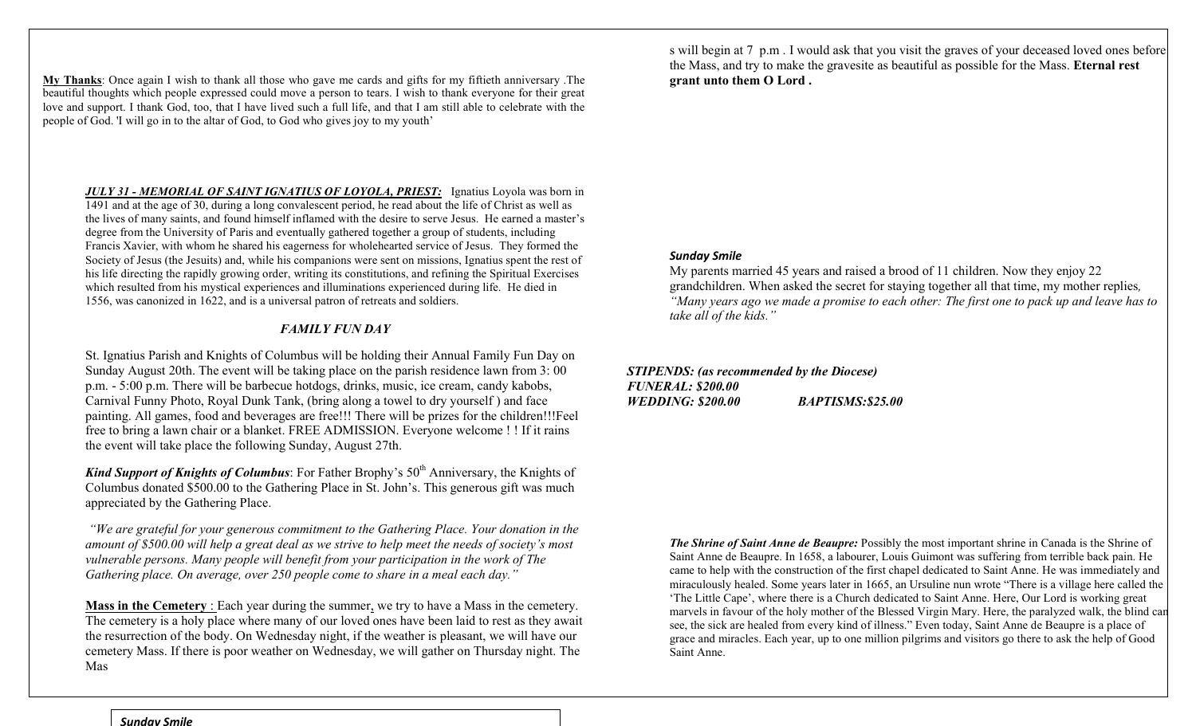**My Thanks**: Once again I wish to thank all those who gave me cards and gifts for my fiftieth anniversary .The beautiful thoughts which people expressed could move a person to tears. I wish to thank everyone for their great love and support. I thank God, too, that I have lived such a full life, and that I am still able to celebrate with the people of God. 'I will go in to the altar of God, to God who gives joy to my youth'

*JULY 31 - MEMORIAL OF SAINT IGNATIUS OF LOYOLA, PRIEST:* Ignatius Loyola was born in 1491 and at the age of 30, during a long convalescent period, he read about the life of Christ as well as the lives of many saints, and found himself inflamed with the desire to serve Jesus. He earned a master's degree from the University of Paris and eventually gathered together a group of students, including Francis Xavier, with whom he shared his eagerness for wholehearted service of Jesus. They formed the Society of Jesus (the Jesuits) and, while his companions were sent on missions, Ignatius spent the rest of his life directing the rapidly growing order, writing its constitutions, and refining the Spiritual Exercises which resulted from his mystical experiences and illuminations experienced during life. He died in 1556, was canonized in 1622, and is a universal patron of retreats and soldiers.

# *FAMILY FUN DAY*

St. Ignatius Parish and Knights of Columbus will be holding their Annual Family Fun Day on Sunday August 20th. The event will be taking place on the parish residence lawn from 3: 00 p.m. - 5:00 p.m. There will be barbecue hotdogs, drinks, music, ice cream, candy kabobs, Carnival Funny Photo, Royal Dunk Tank, (bring along a towel to dry yourself ) and face painting. All games, food and beverages are free!!! There will be prizes for the children!!!Feel free to bring a lawn chair or a blanket. FREE ADMISSION. Everyone welcome ! ! If it rains the event will take place the following Sunday, August 27th.

*Kind Support of Knights of Columbus*: For Father Brophy's 50<sup>th</sup> Anniversary, the Knights of Columbus donated \$500.00 to the Gathering Place in St. John's. This generous gift was much appreciated by the Gathering Place.

*"We are grateful for your generous commitment to the Gathering Place. Your donation in the amount of \$500.00 will help a great deal as we strive to help meet the needs of society's most vulnerable persons. Many people will benefit from your participation in the work of The Gathering place. On average, over 250 people come to share in a meal each day."*

**Mass in the Cemetery** : Each year during the summer, we try to have a Mass in the cemetery. The cemetery is a holy place where many of our loved ones have been laid to rest as they await the resurrection of the body. On Wednesday night, if the weather is pleasant, we will have our cemetery Mass. If there is poor weather on Wednesday, we will gather on Thursday night. The Mas

s will begin at 7 p.m . I would ask that you visit the graves of your deceased loved ones before the Mass, and try to make the gravesite as beautiful as possible for the Mass. **Eternal rest grant unto them O Lord .**

# *Sunday Smile*

My parents married 45 years and raised a brood of 11 children. Now they enjoy 22 grandchildren. When asked the secret for staying together all that time, my mother replies*, "Many years ago we made a promise to each other: The first one to pack up and leave has to take all of the kids."*

*STIPENDS: (as recommended by the Diocese) FUNERAL: \$200.00 WEDDING: \$200.00 BAPTISMS:\$25.00*

> *The Shrine of Saint Anne de Beaupre:* Possibly the most important shrine in Canada is the Shrine of Saint Anne de Beaupre. In 1658, a labourer, Louis Guimont was suffering from terrible back pain. He came to help with the construction of the first chapel dedicated to Saint Anne. He was immediately and miraculously healed. Some years later in 1665, an Ursuline nun wrote "There is a village here called the 'The Little Cape', where there is a Church dedicated to Saint Anne. Here, Our Lord is working great marvels in favour of the holy mother of the Blessed Virgin Mary. Here, the paralyzed walk, the blind can see, the sick are healed from every kind of illness." Even today, Saint Anne de Beaupre is a place of grace and miracles. Each year, up to one million pilgrims and visitors go there to ask the help of Good Saint Anne.

#### *Sunday Smile*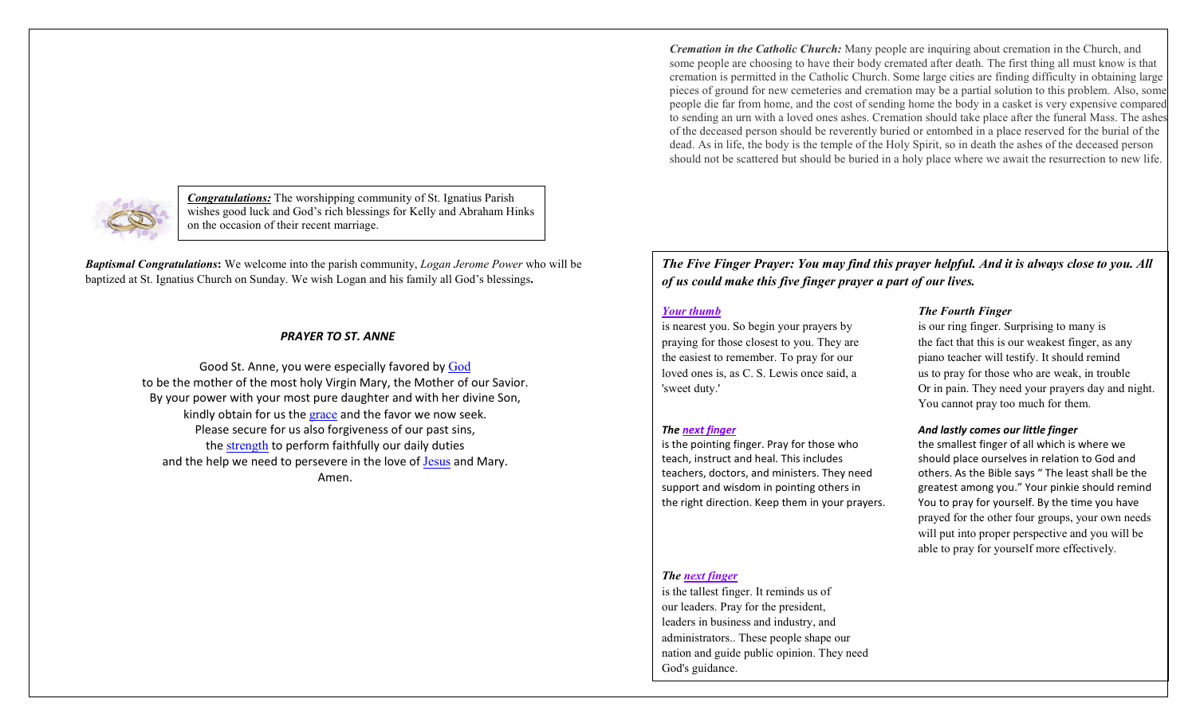

*Congratulations:* The worshipping community of St. Ignatius Parish wishes good luck and God's rich blessings for Kelly and Abraham Hinks on the occasion of their recent marriage.

*Baptismal Congratulations***:** We welcome into the parish community, *Logan Jerome Power* who will be baptized at St. Ignatius Church on Sunday. We wish Logan and his family all God's blessings**.**

### *PRAYER TO ST. ANNE*

Good St. Anne, you were especially favored by [God](http://www.catholic.org/encyclopedia/view.php?id=5217) to be the mother of the most holy Virgin Mary, the Mother of our Savior. By your power with your most pure daughter and with her divine Son, kindly obtain for us the [grace](http://www.catholic.org/encyclopedia/view.php?id=5305) and the favor we now seek. Please secure for us also forgiveness of our past sins, the [strength](http://www.catholic.org/prayers/prayer.php?p=2917) to perform faithfully our daily duties and the help we need to persevere in the love of [Jesus](http://www.catholic.org/clife/jesus) and Mary. Amen.

*Cremation in the Catholic Church:* Many people are inquiring about cremation in the Church, and some people are choosing to have their body cremated after death. The first thing all must know is that cremation is permitted in the Catholic Church. Some large cities are finding difficulty in obtaining large pieces of ground for new cemeteries and cremation may be a partial solution to this problem. Also, some people die far from home, and the cost of sending home the body in a casket is very expensive compared to sending an urn with a loved ones ashes. Cremation should take place after the funeral Mass. The ashes of the deceased person should be reverently buried or entombed in a place reserved for the burial of the dead. As in life, the body is the temple of the Holy Spirit, so in death the ashes of the deceased person should not be scattered but should be buried in a holy place where we await the resurrection to new life.

*The Five Finger Prayer: You may find this prayer helpful. And it is always close to you. All of us could make this five finger prayer a part of our lives.*

#### *Your thumb The Fourth Finger*

is nearest you. So begin your prayers by is our ring finger. Surprising to many is

is the pointing finger. Pray for those who the smallest finger of all which is where we teach, instruct and heal. This includes should place ourselves in relation to God and

praying for those closest to you. They are the fact that this is our weakest finger, as any the easiest to remember. To pray for our piano teacher will testify. It should remind loved ones is, as C. S. Lewis once said, a us to pray for those who are weak, in trouble 'sweet duty.' Or in pain. They need your prayers day and night. You cannot pray too much for them.

### *The next finger And lastly comes our little finger*

teachers, doctors, and ministers. They need others. As the Bible says " The least shall be the support and wisdom in pointing others in greatest among you." Your pinkie should remind the right direction. Keep them in your prayers. You to pray for yourself. By the time you have prayed for the other four groups, your own needs will put into proper perspective and you will be able to pray for yourself more effectively.

### *The next finger*

is the tallest finger. It reminds us of our leaders. Pray for the president, leaders in business and industry, and administrators.. These people shape our nation and guide public opinion. They need God's guidance.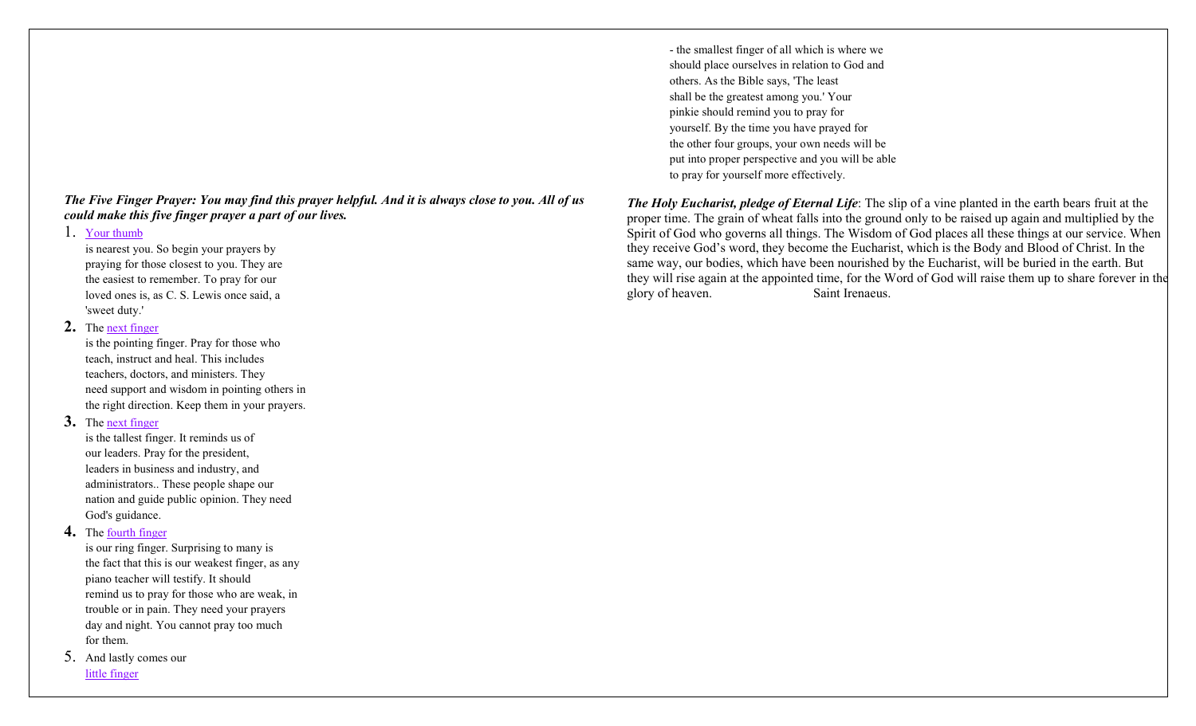# *The Five Finger Prayer: You may find this prayer helpful. And it is always close to you. All of us could make this five finger prayer a part of our lives.*

1. Your thumb

is nearest you. So begin your prayers by praying for those closest to you. They are the easiest to remember. To pray for our loved ones is, as C. S. Lewis once said, a 'sweet duty.'

# 2. The next finger

is the pointing finger. Pray for those who teach, instruct and heal. This includes teachers, doctors, and ministers. They need support and wisdom in pointing others in the right direction. Keep them in your prayers.

# **3.** The next finger

is the tallest finger. It reminds us of our leaders. Pray for the president, leaders in business and industry, and administrators.. These people shape our nation and guide public opinion. They need God's guidance.

# **4.** The fourth finger

is our ring finger. Surprising to many is the fact that this is our weakest finger, as any piano teacher will testify. It should remind us to pray for those who are weak, in trouble or in pain. They need your prayers day and night. You cannot pray too much for them.

5. And lastly comes our little finger

- the smallest finger of all which is where we should place ourselves in relation to God and others. As the Bible says, 'The least shall be the greatest among you.' Your pinkie should remind you to pray for yourself. By the time you have prayed for the other four groups, your own needs will be put into proper perspective and you will be able to pray for yourself more effectively.

*The Holy Eucharist, pledge of Eternal Life*: The slip of a vine planted in the earth bears fruit at the proper time. The grain of wheat falls into the ground only to be raised up again and multiplied by the Spirit of God who governs all things. The Wisdom of God places all these things at our service. When they receive God's word, they become the Eucharist, which is the Body and Blood of Christ. In the same way, our bodies, which have been nourished by the Eucharist, will be buried in the earth. But they will rise again at the appointed time, for the Word of God will raise them up to share forever in the glory of heaven. Saint Irenaeus.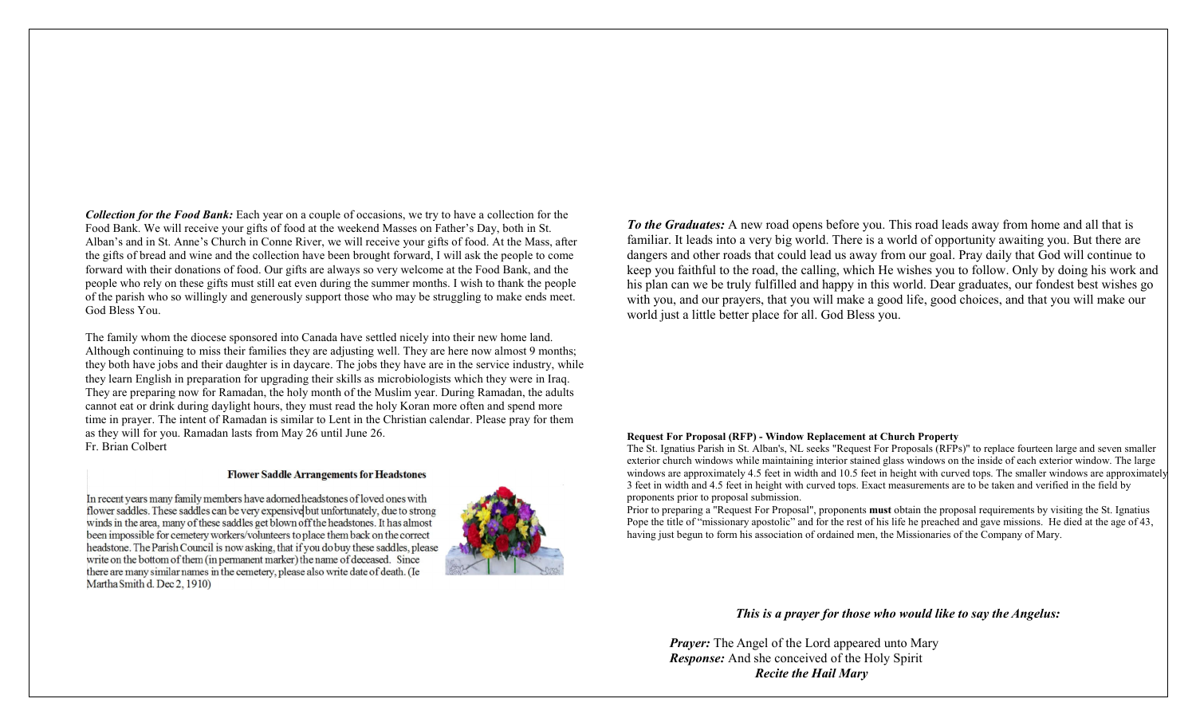*Collection for the Food Bank:* Each year on a couple of occasions, we try to have a collection for the Food Bank. We will receive your gifts of food at the weekend Masses on Father's Day, both in St. Alban's and in St. Anne's Church in Conne River, we will receive your gifts of food. At the Mass, after the gifts of bread and wine and the collection have been brought forward, I will ask the people to come forward with their donations of food. Our gifts are always so very welcome at the Food Bank, and the people who rely on these gifts must still eat even during the summer months. I wish to thank the people of the parish who so willingly and generously support those who may be struggling to make ends meet. God Bless You.

The family whom the diocese sponsored into Canada have settled nicely into their new home land. Although continuing to miss their families they are adjusting well. They are here now almost 9 months; they both have jobs and their daughter is in daycare. The jobs they have are in the service industry, while they learn English in preparation for upgrading their skills as microbiologists which they were in Iraq. They are preparing now for Ramadan, the holy month of the Muslim year. During Ramadan, the adults cannot eat or drink during daylight hours, they must read the holy Koran more often and spend more time in prayer. The intent of Ramadan is similar to Lent in the Christian calendar. Please pray for them as they will for you. Ramadan lasts from May 26 until June 26. Fr. Brian Colbert

#### **Flower Saddle Arrangements for Headstones**

In recent years many family members have adorned headstones of loved ones with flower saddles. These saddles can be very expensive but unfortunately, due to strong winds in the area, many of these saddles get blown off the headstones. It has almost been impossible for cemetery workers/volunteers to place them back on the correct headstone. The Parish Council is now asking, that if you do buy these saddles, please write on the bottom of them (in permanent marker) the name of deceased. Since there are many similar names in the cemetery, please also write date of death. (Ie Martha Smith d. Dec 2, 1910)



*To the Graduates:* A new road opens before you. This road leads away from home and all that is familiar. It leads into a very big world. There is a world of opportunity awaiting you. But there are dangers and other roads that could lead us away from our goal. Pray daily that God will continue to keep you faithful to the road, the calling, which He wishes you to follow. Only by doing his work and his plan can we be truly fulfilled and happy in this world. Dear graduates, our fondest best wishes go with you, and our prayers, that you will make a good life, good choices, and that you will make our world just a little better place for all. God Bless you.

#### **Request For Proposal (RFP) - Window Replacement at Church Property**

The St. Ignatius Parish in St. Alban's, NL seeks "Request For Proposals (RFPs)" to replace fourteen large and seven smaller exterior church windows while maintaining interior stained glass windows on the inside of each exterior window. The large windows are approximately 4.5 feet in width and 10.5 feet in height with curved tops. The smaller windows are approximately 3 feet in width and 4.5 feet in height with curved tops. Exact measurements are to be taken and verified in the field by proponents prior to proposal submission.

Prior to preparing a "Request For Proposal", proponents **must** obtain the proposal requirements by visiting the St. Ignatius Pope the title of "missionary apostolic" and for the rest of his life he preached and gave missions. He died at the age of 43, having just begun to form his association of ordained men, the Missionaries of the Company of Mary.

*This is a prayer for those who would like to say the Angelus:*

*Prayer:* The Angel of the Lord appeared unto Mary *Response:* And she conceived of the Holy Spirit *Recite the Hail Mary*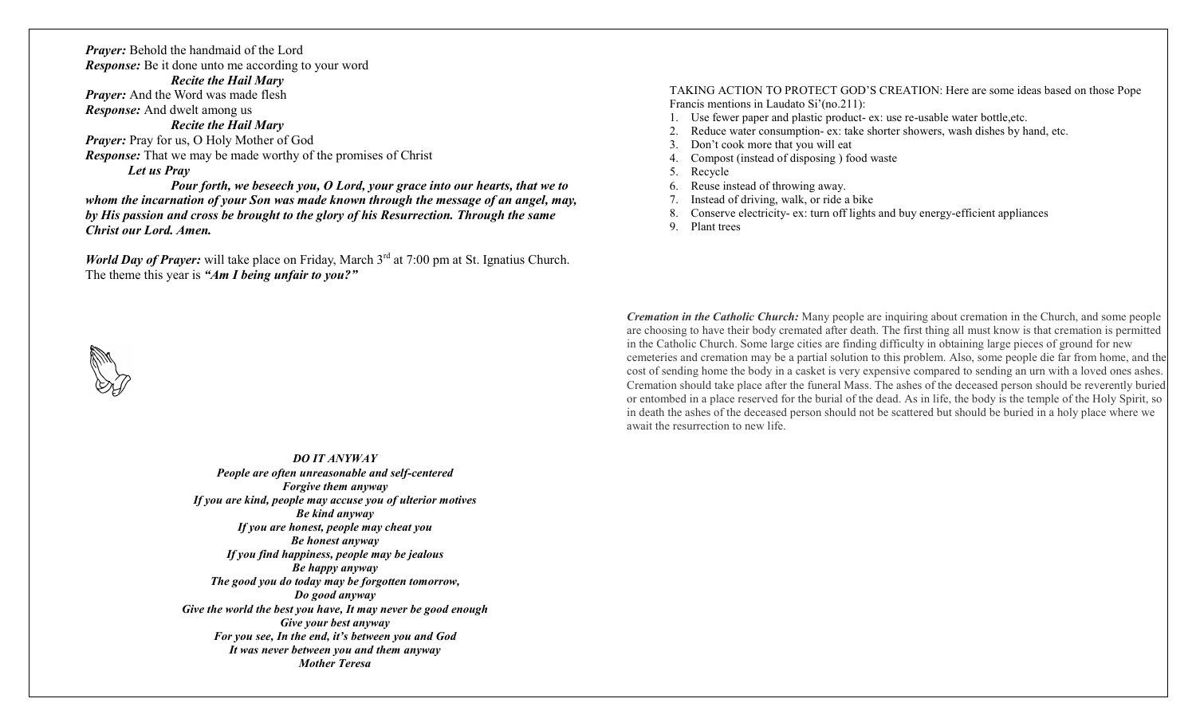*Prayer:* Behold the handmaid of the Lord *[Respons](https://www.google.ca/imgres?imgurl=http://images.clipartpanda.com/praying-hands-with-bible-clipart-McLGEqqca.gif&imgrefurl=http://www.clipartpanda.com/categories/open-praying-hands-clipart&h=456&w=387&tbnid=du-wv43FDgdEkM:&docid=znL3ebTFXvrSNM&ei=tO-YVpuCCoOw-wHWqr_YCQ&tbm=isch&ved=0ahUKEwibrNv88avKAhUD2D4KHVbVD5sQMwg2KAUwBQ)e:* Be it done unto me according to your word *Recite the Hail Mary*

*Prayer:* And the Word was made flesh *Response:* And dwelt among us

*Recite the Hail Mary Prayer:* Pray for us, O Holy Mother of God *Response:* That we may be made worthy of the promises of Christ

*Let us Pray*

*Pour forth, we beseech you, O Lord, your grace into our hearts, that we to whom the incarnation of your Son was made known through the message of an angel, may, by His passion and cross be brought to the glory of his Resurrection. Through the same Christ our Lord. Amen.* 

*World Day of Prayer:* will take place on Friday, March 3<sup>rd</sup> at 7:00 pm at St. Ignatius Church. The theme this year is *"Am I being unfair to you?"*

*DO IT ANYWAY People are often unreasonable and self-centered Forgive them anyway If you are kind, people may accuse you of ulterior motives Be kind anyway If you are honest, people may cheat you Be honest anyway If you find happiness, people may be jealous Be happy anyway The good you do today may be forgotten tomorrow, Do good anyway Give the world the best you have, It may never be good enough Give your best anyway For you see, In the end, it's between you and God It was never between you and them anyway Mother Teresa*

### TAKING ACTION TO PROTECT GOD'S CREATION: Here are some ideas based on those Pope Francis mentions in Laudato Si'(no.211):

- 1. Use fewer paper and plastic product- ex: use re-usable water bottle,etc.
- 2. Reduce water consumption- ex: take shorter showers, wash dishes by hand, etc.
- 3. Don't cook more that you will eat
- 4. Compost (instead of disposing ) food waste
- 5. Recycle
- 6. Reuse instead of throwing away.
- 7. Instead of driving, walk, or ride a bike
- 8. Conserve electricity- ex: turn off lights and buy energy-efficient appliances
- 9. Plant trees

*Cremation in the Catholic Church:* Many people are inquiring about cremation in the Church, and some people are choosing to have their body cremated after death. The first thing all must know is that cremation is permitted in the Catholic Church. Some large cities are finding difficulty in obtaining large pieces of ground for new cemeteries and cremation may be a partial solution to this problem. Also, some people die far from home, and the cost of sending home the body in a casket is very expensive compared to sending an urn with a loved ones ashes. Cremation should take place after the funeral Mass. The ashes of the deceased person should be reverently buried or entombed in a place reserved for the burial of the dead. As in life, the body is the temple of the Holy Spirit, so in death the ashes of the deceased person should not be scattered but should be buried in a holy place where we await the resurrection to new life.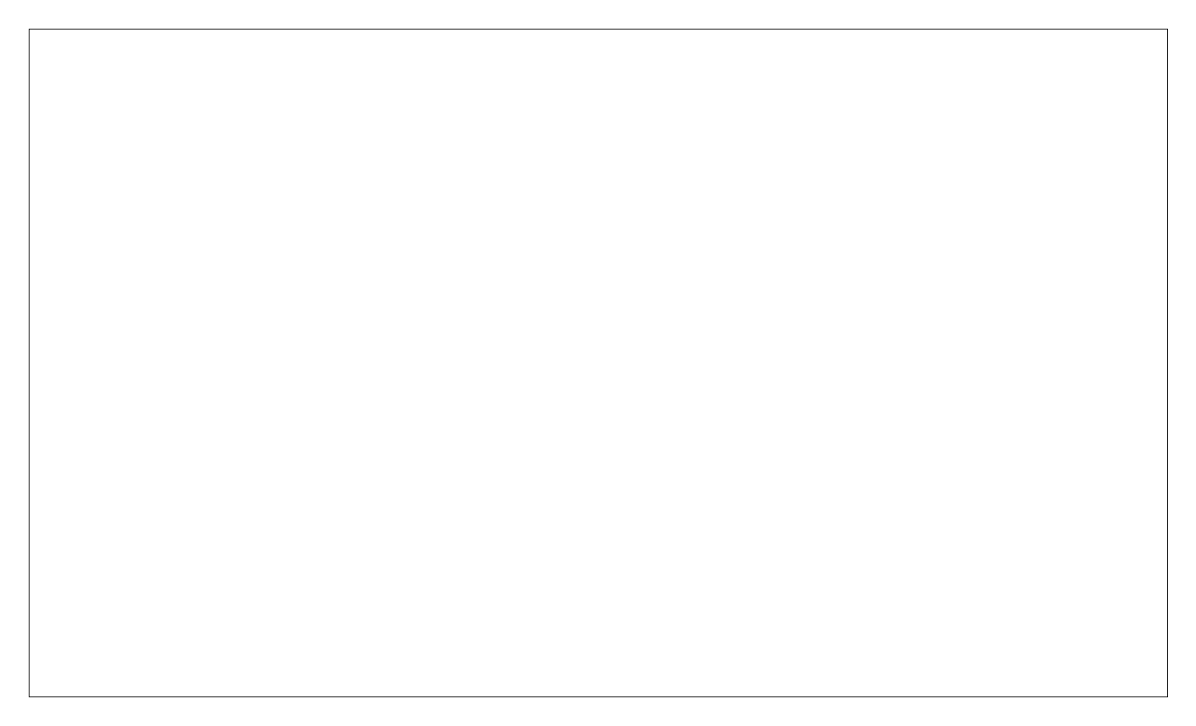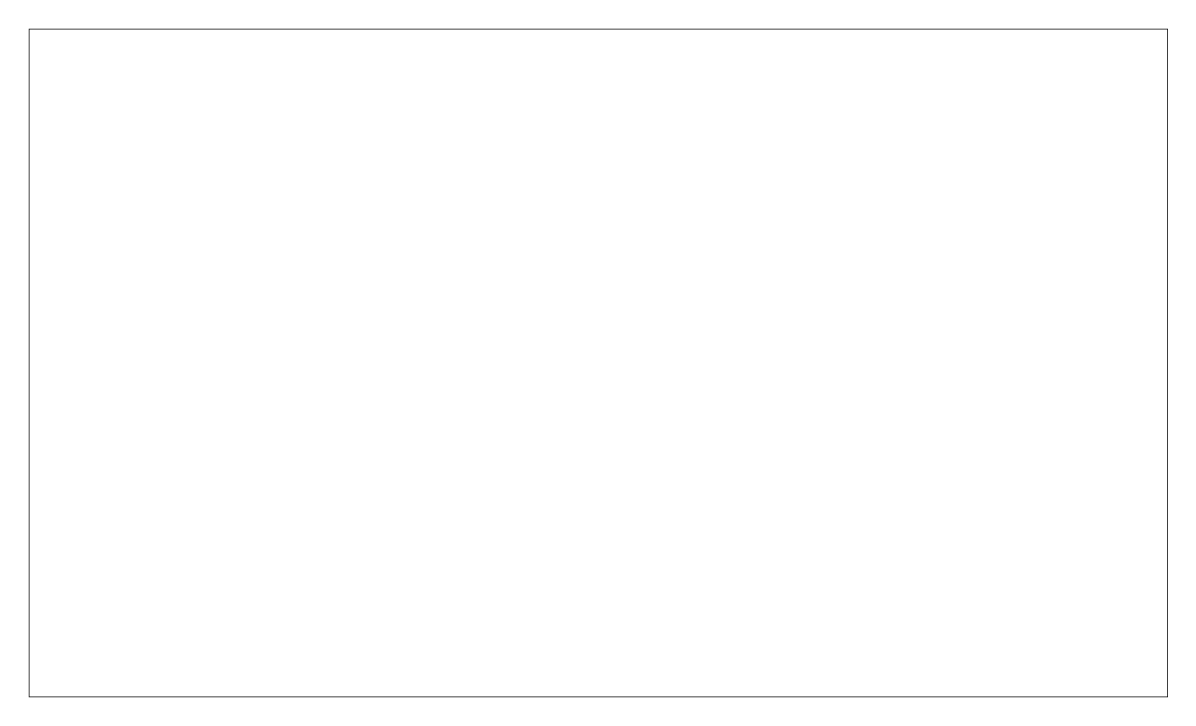